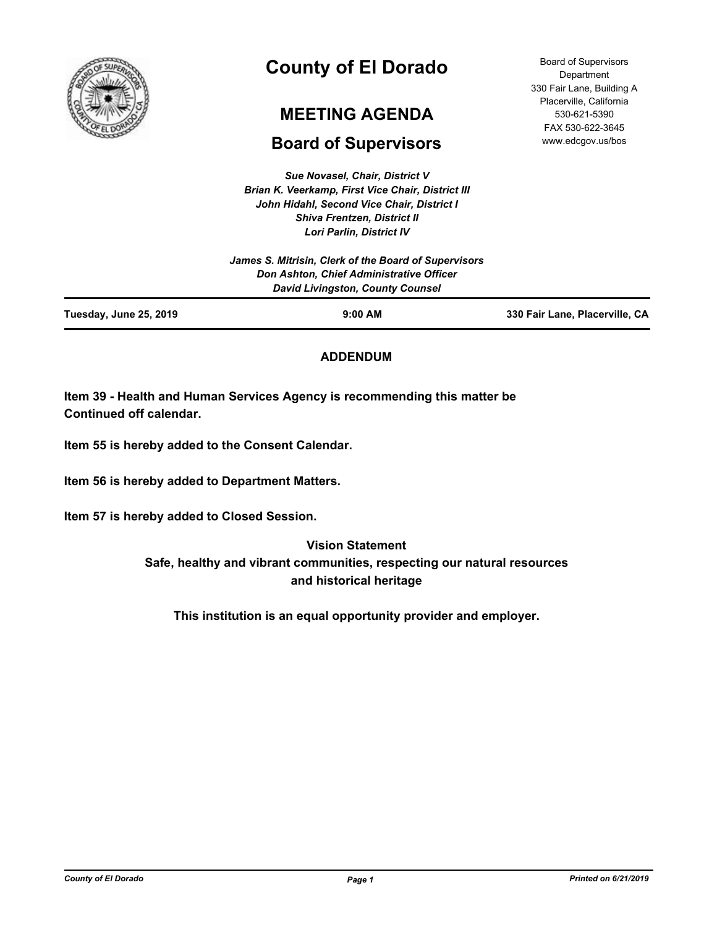

# **County of El Dorado**

# **MEETING AGENDA**

# **Board of Supervisors**

*Sue Novasel, Chair, District V Brian K. Veerkamp, First Vice Chair, District III John Hidahl, Second Vice Chair, District I Shiva Frentzen, District II Lori Parlin, District IV*

Board of Supervisors Department 330 Fair Lane, Building A Placerville, California 530-621-5390 FAX 530-622-3645 www.edcgov.us/bos

|                               | James S. Mitrisin, Clerk of the Board of Supervisors                         |                                |
|-------------------------------|------------------------------------------------------------------------------|--------------------------------|
|                               | Don Ashton, Chief Administrative Officer<br>David Livingston, County Counsel |                                |
| <b>Tuesday, June 25, 2019</b> | $9:00$ AM                                                                    | 330 Fair Lane, Placerville, CA |

# **ADDENDUM**

**Item 39 - Health and Human Services Agency is recommending this matter be Continued off calendar.**

**Item 55 is hereby added to the Consent Calendar.**

**Item 56 is hereby added to Department Matters.**

**Item 57 is hereby added to Closed Session.**

# **Vision Statement**

**Safe, healthy and vibrant communities, respecting our natural resources and historical heritage**

**This institution is an equal opportunity provider and employer.**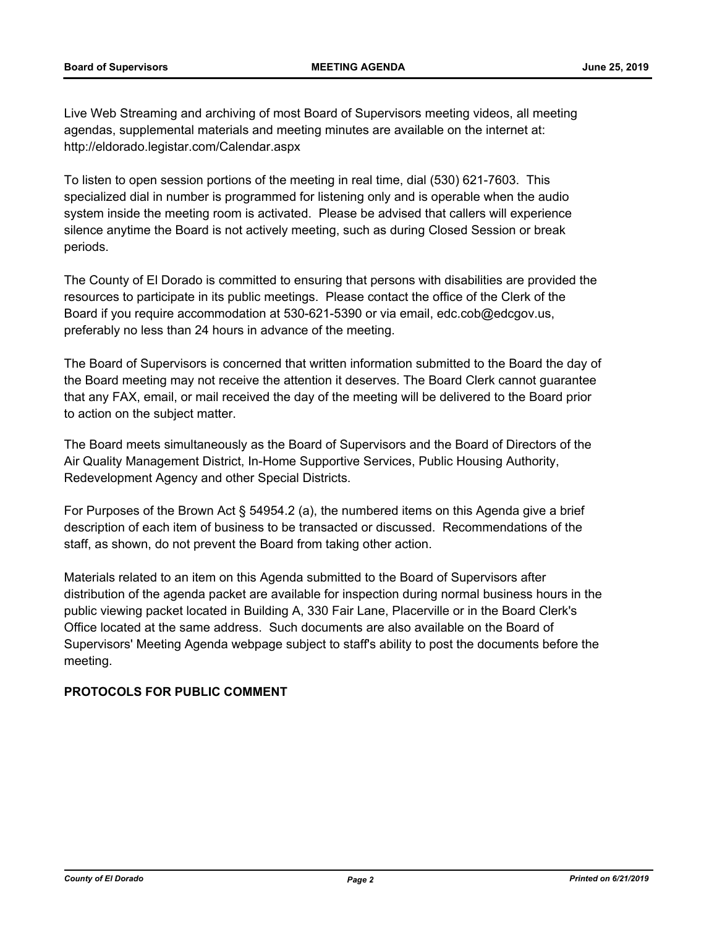Live Web Streaming and archiving of most Board of Supervisors meeting videos, all meeting agendas, supplemental materials and meeting minutes are available on the internet at: http://eldorado.legistar.com/Calendar.aspx

To listen to open session portions of the meeting in real time, dial (530) 621-7603. This specialized dial in number is programmed for listening only and is operable when the audio system inside the meeting room is activated. Please be advised that callers will experience silence anytime the Board is not actively meeting, such as during Closed Session or break periods.

The County of El Dorado is committed to ensuring that persons with disabilities are provided the resources to participate in its public meetings. Please contact the office of the Clerk of the Board if you require accommodation at 530-621-5390 or via email, edc.cob@edcgov.us, preferably no less than 24 hours in advance of the meeting.

The Board of Supervisors is concerned that written information submitted to the Board the day of the Board meeting may not receive the attention it deserves. The Board Clerk cannot guarantee that any FAX, email, or mail received the day of the meeting will be delivered to the Board prior to action on the subject matter.

The Board meets simultaneously as the Board of Supervisors and the Board of Directors of the Air Quality Management District, In-Home Supportive Services, Public Housing Authority, Redevelopment Agency and other Special Districts.

For Purposes of the Brown Act § 54954.2 (a), the numbered items on this Agenda give a brief description of each item of business to be transacted or discussed. Recommendations of the staff, as shown, do not prevent the Board from taking other action.

Materials related to an item on this Agenda submitted to the Board of Supervisors after distribution of the agenda packet are available for inspection during normal business hours in the public viewing packet located in Building A, 330 Fair Lane, Placerville or in the Board Clerk's Office located at the same address. Such documents are also available on the Board of Supervisors' Meeting Agenda webpage subject to staff's ability to post the documents before the meeting.

# **PROTOCOLS FOR PUBLIC COMMENT**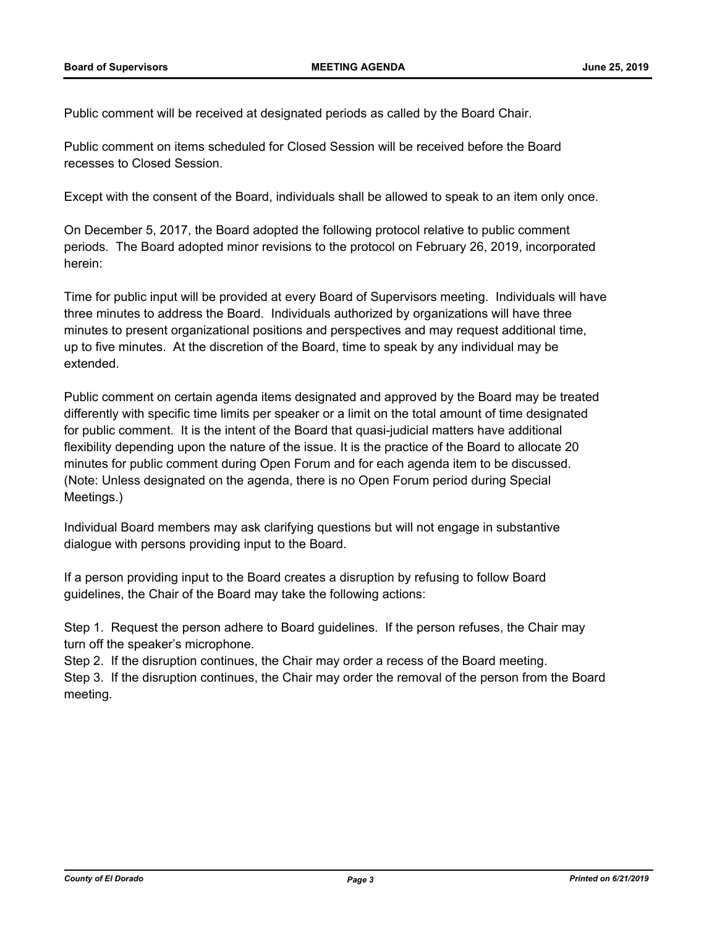Public comment will be received at designated periods as called by the Board Chair.

Public comment on items scheduled for Closed Session will be received before the Board recesses to Closed Session.

Except with the consent of the Board, individuals shall be allowed to speak to an item only once.

On December 5, 2017, the Board adopted the following protocol relative to public comment periods. The Board adopted minor revisions to the protocol on February 26, 2019, incorporated herein:

Time for public input will be provided at every Board of Supervisors meeting. Individuals will have three minutes to address the Board. Individuals authorized by organizations will have three minutes to present organizational positions and perspectives and may request additional time, up to five minutes. At the discretion of the Board, time to speak by any individual may be extended.

Public comment on certain agenda items designated and approved by the Board may be treated differently with specific time limits per speaker or a limit on the total amount of time designated for public comment. It is the intent of the Board that quasi-judicial matters have additional flexibility depending upon the nature of the issue. It is the practice of the Board to allocate 20 minutes for public comment during Open Forum and for each agenda item to be discussed. (Note: Unless designated on the agenda, there is no Open Forum period during Special Meetings.)

Individual Board members may ask clarifying questions but will not engage in substantive dialogue with persons providing input to the Board.

If a person providing input to the Board creates a disruption by refusing to follow Board guidelines, the Chair of the Board may take the following actions:

Step 1. Request the person adhere to Board guidelines. If the person refuses, the Chair may turn off the speaker's microphone.

Step 2. If the disruption continues, the Chair may order a recess of the Board meeting. Step 3. If the disruption continues, the Chair may order the removal of the person from the Board meeting.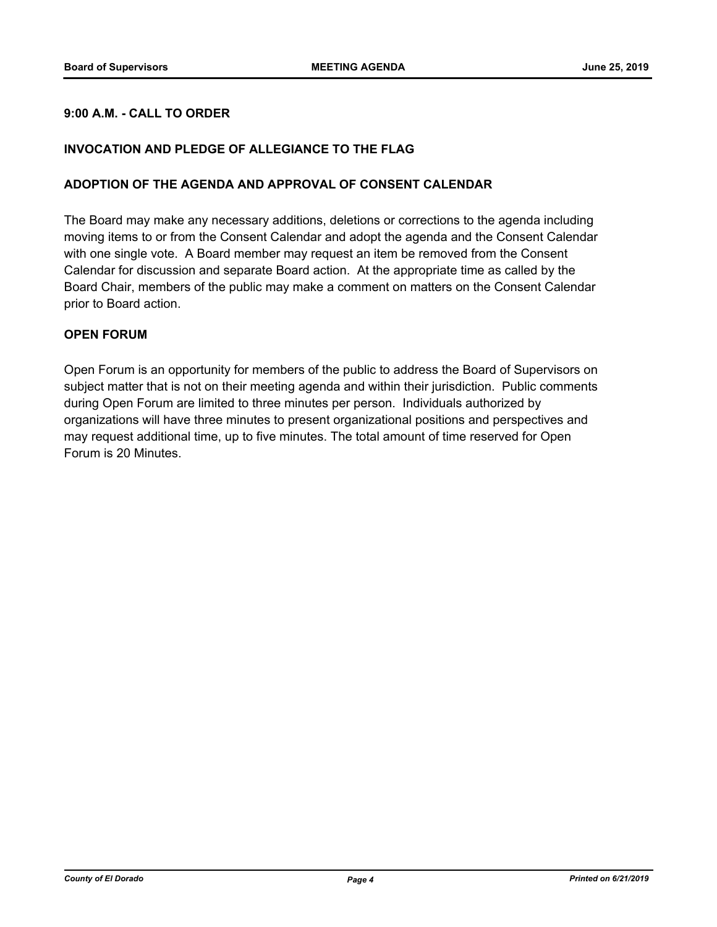# **9:00 A.M. - CALL TO ORDER**

## **INVOCATION AND PLEDGE OF ALLEGIANCE TO THE FLAG**

#### **ADOPTION OF THE AGENDA AND APPROVAL OF CONSENT CALENDAR**

The Board may make any necessary additions, deletions or corrections to the agenda including moving items to or from the Consent Calendar and adopt the agenda and the Consent Calendar with one single vote. A Board member may request an item be removed from the Consent Calendar for discussion and separate Board action. At the appropriate time as called by the Board Chair, members of the public may make a comment on matters on the Consent Calendar prior to Board action.

#### **OPEN FORUM**

Open Forum is an opportunity for members of the public to address the Board of Supervisors on subject matter that is not on their meeting agenda and within their jurisdiction. Public comments during Open Forum are limited to three minutes per person. Individuals authorized by organizations will have three minutes to present organizational positions and perspectives and may request additional time, up to five minutes. The total amount of time reserved for Open Forum is 20 Minutes.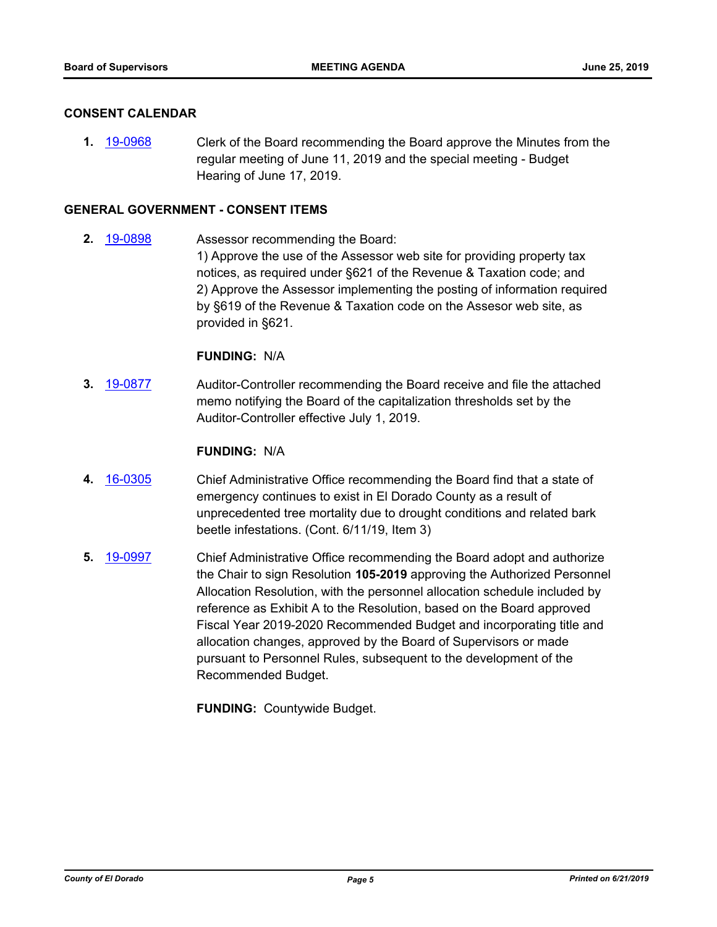#### **CONSENT CALENDAR**

**1.** [19-0968](http://eldorado.legistar.com/gateway.aspx?m=l&id=/matter.aspx?key=26291) Clerk of the Board recommending the Board approve the Minutes from the regular meeting of June 11, 2019 and the special meeting - Budget Hearing of June 17, 2019.

# **GENERAL GOVERNMENT - CONSENT ITEMS**

**2.** [19-0898](http://eldorado.legistar.com/gateway.aspx?m=l&id=/matter.aspx?key=26221) Assessor recommending the Board: 1) Approve the use of the Assessor web site for providing property tax notices, as required under §621 of the Revenue & Taxation code; and 2) Approve the Assessor implementing the posting of information required by §619 of the Revenue & Taxation code on the Assesor web site, as provided in §621.

#### **FUNDING:** N/A

**3.** [19-0877](http://eldorado.legistar.com/gateway.aspx?m=l&id=/matter.aspx?key=26200) Auditor-Controller recommending the Board receive and file the attached memo notifying the Board of the capitalization thresholds set by the Auditor-Controller effective July 1, 2019.

#### **FUNDING:** N/A

- **4.** [16-0305](http://eldorado.legistar.com/gateway.aspx?m=l&id=/matter.aspx?key=20961) Chief Administrative Office recommending the Board find that a state of emergency continues to exist in El Dorado County as a result of unprecedented tree mortality due to drought conditions and related bark beetle infestations. (Cont. 6/11/19, Item 3)
- **5.** [19-0997](http://eldorado.legistar.com/gateway.aspx?m=l&id=/matter.aspx?key=26320) Chief Administrative Office recommending the Board adopt and authorize the Chair to sign Resolution **105-2019** approving the Authorized Personnel Allocation Resolution, with the personnel allocation schedule included by reference as Exhibit A to the Resolution, based on the Board approved Fiscal Year 2019-2020 Recommended Budget and incorporating title and allocation changes, approved by the Board of Supervisors or made pursuant to Personnel Rules, subsequent to the development of the Recommended Budget.

**FUNDING:** Countywide Budget.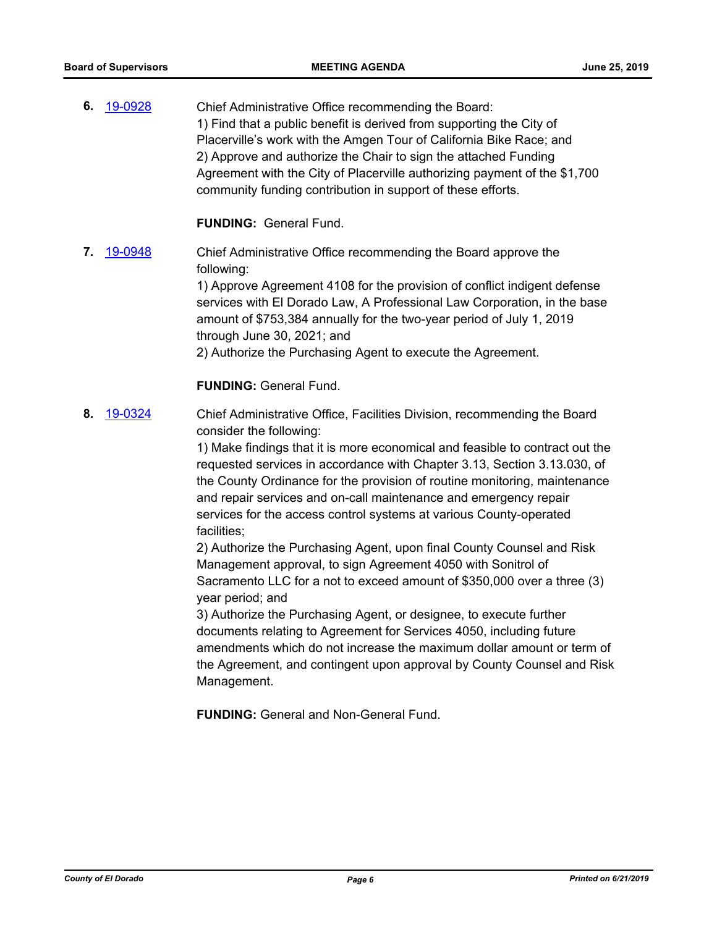**6.** [19-0928](http://eldorado.legistar.com/gateway.aspx?m=l&id=/matter.aspx?key=26251) Chief Administrative Office recommending the Board: 1) Find that a public benefit is derived from supporting the City of Placerville's work with the Amgen Tour of California Bike Race; and 2) Approve and authorize the Chair to sign the attached Funding Agreement with the City of Placerville authorizing payment of the \$1,700 community funding contribution in support of these efforts.

**FUNDING:** General Fund.

**7.** [19-0948](http://eldorado.legistar.com/gateway.aspx?m=l&id=/matter.aspx?key=26271) Chief Administrative Office recommending the Board approve the following:

> 1) Approve Agreement 4108 for the provision of conflict indigent defense services with El Dorado Law, A Professional Law Corporation, in the base amount of \$753,384 annually for the two-year period of July 1, 2019 through June 30, 2021; and

2) Authorize the Purchasing Agent to execute the Agreement.

# **FUNDING:** General Fund.

**8.** [19-0324](http://eldorado.legistar.com/gateway.aspx?m=l&id=/matter.aspx?key=25645) Chief Administrative Office, Facilities Division, recommending the Board consider the following:

> 1) Make findings that it is more economical and feasible to contract out the requested services in accordance with Chapter 3.13, Section 3.13.030, of the County Ordinance for the provision of routine monitoring, maintenance and repair services and on-call maintenance and emergency repair services for the access control systems at various County-operated facilities;

2) Authorize the Purchasing Agent, upon final County Counsel and Risk Management approval, to sign Agreement 4050 with Sonitrol of Sacramento LLC for a not to exceed amount of \$350,000 over a three (3) year period; and

3) Authorize the Purchasing Agent, or designee, to execute further documents relating to Agreement for Services 4050, including future amendments which do not increase the maximum dollar amount or term of the Agreement, and contingent upon approval by County Counsel and Risk Management.

**FUNDING:** General and Non-General Fund.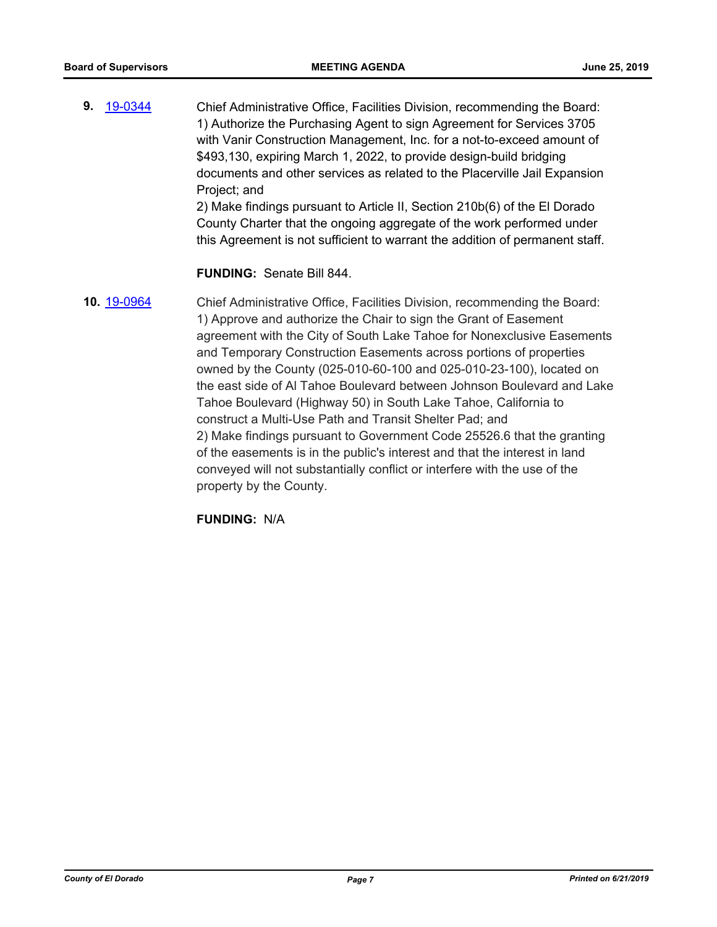**9.** [19-0344](http://eldorado.legistar.com/gateway.aspx?m=l&id=/matter.aspx?key=25665) Chief Administrative Office, Facilities Division, recommending the Board: 1) Authorize the Purchasing Agent to sign Agreement for Services 3705 with Vanir Construction Management, Inc. for a not-to-exceed amount of \$493,130, expiring March 1, 2022, to provide design-build bridging documents and other services as related to the Placerville Jail Expansion Project; and 2) Make findings pursuant to Article II, Section 210b(6) of the El Dorado County Charter that the ongoing aggregate of the work performed under

this Agreement is not sufficient to warrant the addition of permanent staff.

# **FUNDING:** Senate Bill 844.

**10.** [19-0964](http://eldorado.legistar.com/gateway.aspx?m=l&id=/matter.aspx?key=26287) Chief Administrative Office, Facilities Division, recommending the Board: 1) Approve and authorize the Chair to sign the Grant of Easement agreement with the City of South Lake Tahoe for Nonexclusive Easements and Temporary Construction Easements across portions of properties owned by the County (025-010-60-100 and 025-010-23-100), located on the east side of Al Tahoe Boulevard between Johnson Boulevard and Lake Tahoe Boulevard (Highway 50) in South Lake Tahoe, California to construct a Multi-Use Path and Transit Shelter Pad; and 2) Make findings pursuant to Government Code 25526.6 that the granting of the easements is in the public's interest and that the interest in land conveyed will not substantially conflict or interfere with the use of the property by the County.

**FUNDING:** N/A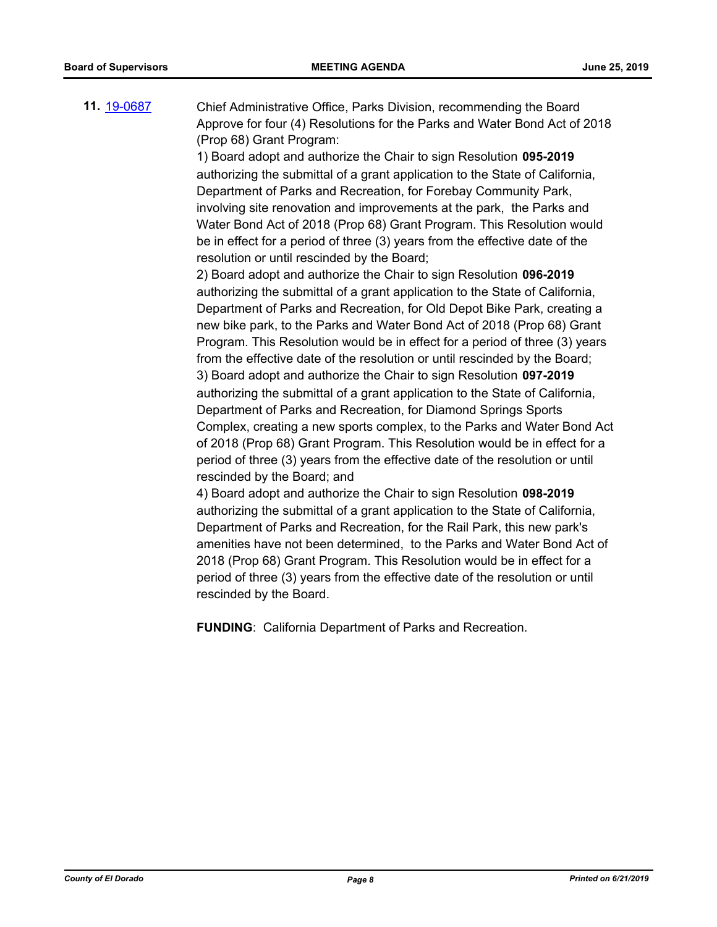**11.** [19-0687](http://eldorado.legistar.com/gateway.aspx?m=l&id=/matter.aspx?key=26009) Chief Administrative Office, Parks Division, recommending the Board Approve for four (4) Resolutions for the Parks and Water Bond Act of 2018 (Prop 68) Grant Program:

1) Board adopt and authorize the Chair to sign Resolution **095-2019**  authorizing the submittal of a grant application to the State of California, Department of Parks and Recreation, for Forebay Community Park, involving site renovation and improvements at the park, the Parks and Water Bond Act of 2018 (Prop 68) Grant Program. This Resolution would be in effect for a period of three (3) years from the effective date of the resolution or until rescinded by the Board;

2) Board adopt and authorize the Chair to sign Resolution **096-2019**  authorizing the submittal of a grant application to the State of California, Department of Parks and Recreation, for Old Depot Bike Park, creating a new bike park, to the Parks and Water Bond Act of 2018 (Prop 68) Grant Program. This Resolution would be in effect for a period of three (3) years from the effective date of the resolution or until rescinded by the Board; 3) Board adopt and authorize the Chair to sign Resolution **097-2019**  authorizing the submittal of a grant application to the State of California, Department of Parks and Recreation, for Diamond Springs Sports Complex, creating a new sports complex, to the Parks and Water Bond Act of 2018 (Prop 68) Grant Program. This Resolution would be in effect for a period of three (3) years from the effective date of the resolution or until rescinded by the Board; and

4) Board adopt and authorize the Chair to sign Resolution **098-2019**  authorizing the submittal of a grant application to the State of California, Department of Parks and Recreation, for the Rail Park, this new park's amenities have not been determined, to the Parks and Water Bond Act of 2018 (Prop 68) Grant Program. This Resolution would be in effect for a period of three (3) years from the effective date of the resolution or until rescinded by the Board.

**FUNDING**: California Department of Parks and Recreation.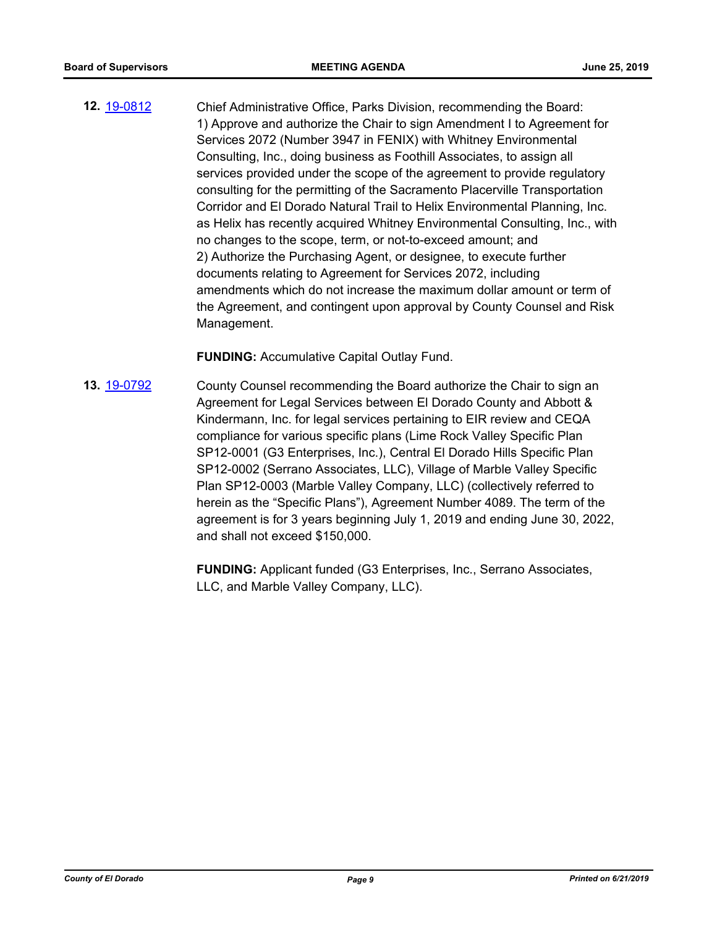**12.** [19-0812](http://eldorado.legistar.com/gateway.aspx?m=l&id=/matter.aspx?key=26135) Chief Administrative Office, Parks Division, recommending the Board: 1) Approve and authorize the Chair to sign Amendment I to Agreement for Services 2072 (Number 3947 in FENIX) with Whitney Environmental Consulting, Inc., doing business as Foothill Associates, to assign all services provided under the scope of the agreement to provide regulatory consulting for the permitting of the Sacramento Placerville Transportation Corridor and El Dorado Natural Trail to Helix Environmental Planning, Inc. as Helix has recently acquired Whitney Environmental Consulting, Inc., with no changes to the scope, term, or not-to-exceed amount; and 2) Authorize the Purchasing Agent, or designee, to execute further documents relating to Agreement for Services 2072, including amendments which do not increase the maximum dollar amount or term of the Agreement, and contingent upon approval by County Counsel and Risk Management.

**FUNDING:** Accumulative Capital Outlay Fund.

**13.** [19-0792](http://eldorado.legistar.com/gateway.aspx?m=l&id=/matter.aspx?key=26115) County Counsel recommending the Board authorize the Chair to sign an Agreement for Legal Services between El Dorado County and Abbott & Kindermann, Inc. for legal services pertaining to EIR review and CEQA compliance for various specific plans (Lime Rock Valley Specific Plan SP12-0001 (G3 Enterprises, Inc.), Central El Dorado Hills Specific Plan SP12-0002 (Serrano Associates, LLC), Village of Marble Valley Specific Plan SP12-0003 (Marble Valley Company, LLC) (collectively referred to herein as the "Specific Plans"), Agreement Number 4089. The term of the agreement is for 3 years beginning July 1, 2019 and ending June 30, 2022, and shall not exceed \$150,000.

> **FUNDING:** Applicant funded (G3 Enterprises, Inc., Serrano Associates, LLC, and Marble Valley Company, LLC).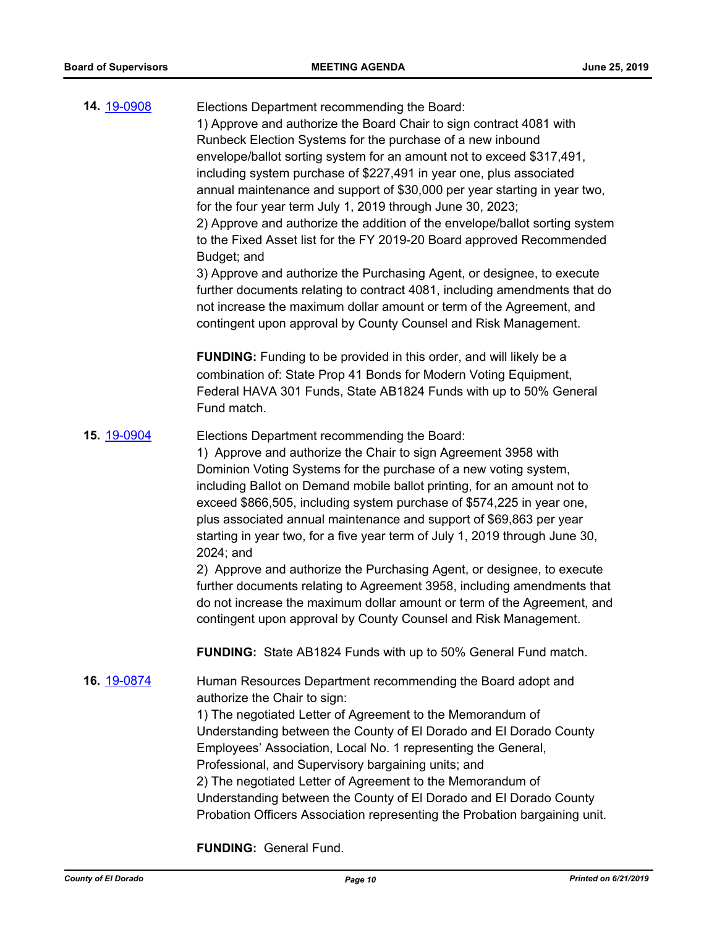| 14. 19-0908 | Elections Department recommending the Board:<br>1) Approve and authorize the Board Chair to sign contract 4081 with<br>Runbeck Election Systems for the purchase of a new inbound<br>envelope/ballot sorting system for an amount not to exceed \$317,491,<br>including system purchase of \$227,491 in year one, plus associated<br>annual maintenance and support of \$30,000 per year starting in year two,<br>for the four year term July 1, 2019 through June 30, 2023;<br>2) Approve and authorize the addition of the envelope/ballot sorting system<br>to the Fixed Asset list for the FY 2019-20 Board approved Recommended<br>Budget; and<br>3) Approve and authorize the Purchasing Agent, or designee, to execute<br>further documents relating to contract 4081, including amendments that do<br>not increase the maximum dollar amount or term of the Agreement, and<br>contingent upon approval by County Counsel and Risk Management. |
|-------------|-------------------------------------------------------------------------------------------------------------------------------------------------------------------------------------------------------------------------------------------------------------------------------------------------------------------------------------------------------------------------------------------------------------------------------------------------------------------------------------------------------------------------------------------------------------------------------------------------------------------------------------------------------------------------------------------------------------------------------------------------------------------------------------------------------------------------------------------------------------------------------------------------------------------------------------------------------|
|             | <b>FUNDING:</b> Funding to be provided in this order, and will likely be a<br>combination of: State Prop 41 Bonds for Modern Voting Equipment,<br>Federal HAVA 301 Funds, State AB1824 Funds with up to 50% General<br>Fund match.                                                                                                                                                                                                                                                                                                                                                                                                                                                                                                                                                                                                                                                                                                                    |
| 15. 19-0904 | Elections Department recommending the Board:<br>1) Approve and authorize the Chair to sign Agreement 3958 with<br>Dominion Voting Systems for the purchase of a new voting system,<br>including Ballot on Demand mobile ballot printing, for an amount not to<br>exceed \$866,505, including system purchase of \$574,225 in year one,<br>plus associated annual maintenance and support of \$69,863 per year<br>starting in year two, for a five year term of July 1, 2019 through June 30,<br>2024; and<br>2) Approve and authorize the Purchasing Agent, or designee, to execute<br>further documents relating to Agreement 3958, including amendments that<br>do not increase the maximum dollar amount or term of the Agreement, and<br>contingent upon approval by County Counsel and Risk Management.                                                                                                                                          |
|             | <b>FUNDING:</b> State AB1824 Funds with up to 50% General Fund match.                                                                                                                                                                                                                                                                                                                                                                                                                                                                                                                                                                                                                                                                                                                                                                                                                                                                                 |
| 16. 19-0874 | Human Resources Department recommending the Board adopt and<br>authorize the Chair to sign:<br>1) The negotiated Letter of Agreement to the Memorandum of<br>Understanding between the County of El Dorado and El Dorado County<br>Employees' Association, Local No. 1 representing the General,<br>Professional, and Supervisory bargaining units; and<br>2) The negotiated Letter of Agreement to the Memorandum of<br>Understanding between the County of El Dorado and El Dorado County<br>Probation Officers Association representing the Probation bargaining unit.                                                                                                                                                                                                                                                                                                                                                                             |

**FUNDING:** General Fund.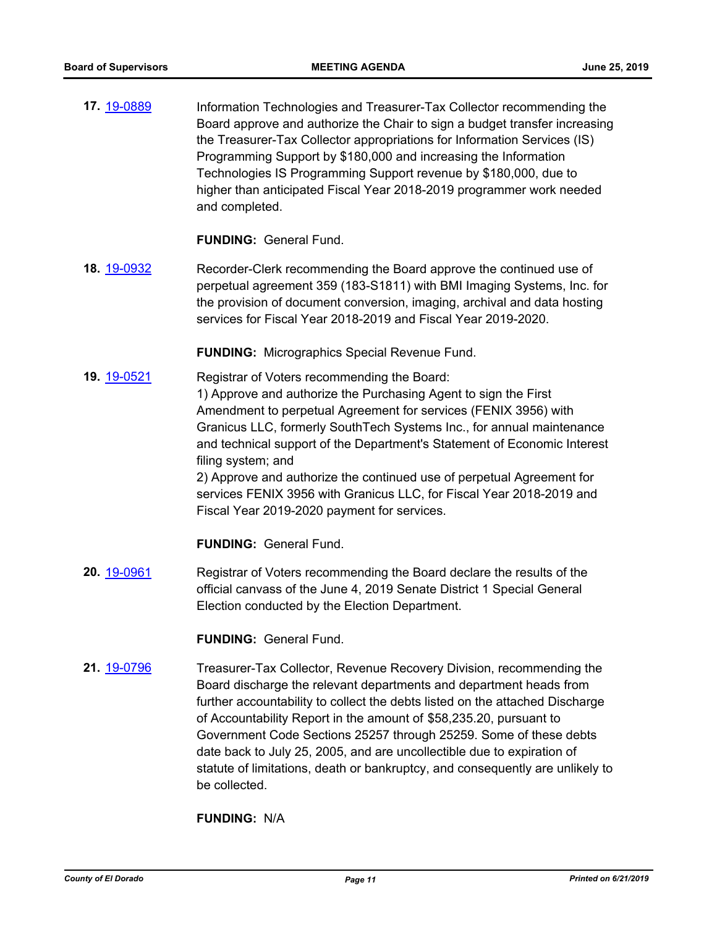**17.** [19-0889](http://eldorado.legistar.com/gateway.aspx?m=l&id=/matter.aspx?key=26212) Information Technologies and Treasurer-Tax Collector recommending the Board approve and authorize the Chair to sign a budget transfer increasing the Treasurer-Tax Collector appropriations for Information Services (IS) Programming Support by \$180,000 and increasing the Information Technologies IS Programming Support revenue by \$180,000, due to higher than anticipated Fiscal Year 2018-2019 programmer work needed and completed.

#### **FUNDING:** General Fund.

**18.** [19-0932](http://eldorado.legistar.com/gateway.aspx?m=l&id=/matter.aspx?key=26255) Recorder-Clerk recommending the Board approve the continued use of perpetual agreement 359 (183-S1811) with BMI Imaging Systems, Inc. for the provision of document conversion, imaging, archival and data hosting services for Fiscal Year 2018-2019 and Fiscal Year 2019-2020.

**FUNDING:** Micrographics Special Revenue Fund.

**19.** [19-0521](http://eldorado.legistar.com/gateway.aspx?m=l&id=/matter.aspx?key=25842) Registrar of Voters recommending the Board: 1) Approve and authorize the Purchasing Agent to sign the First Amendment to perpetual Agreement for services (FENIX 3956) with Granicus LLC, formerly SouthTech Systems Inc., for annual maintenance and technical support of the Department's Statement of Economic Interest filing system; and 2) Approve and authorize the continued use of perpetual Agreement for

services FENIX 3956 with Granicus LLC, for Fiscal Year 2018-2019 and Fiscal Year 2019-2020 payment for services.

**FUNDING:** General Fund.

**20.** [19-0961](http://eldorado.legistar.com/gateway.aspx?m=l&id=/matter.aspx?key=26284) Registrar of Voters recommending the Board declare the results of the official canvass of the June 4, 2019 Senate District 1 Special General Election conducted by the Election Department.

**FUNDING:** General Fund.

**21.** [19-0796](http://eldorado.legistar.com/gateway.aspx?m=l&id=/matter.aspx?key=26119) Treasurer-Tax Collector, Revenue Recovery Division, recommending the Board discharge the relevant departments and department heads from further accountability to collect the debts listed on the attached Discharge of Accountability Report in the amount of \$58,235.20, pursuant to Government Code Sections 25257 through 25259. Some of these debts date back to July 25, 2005, and are uncollectible due to expiration of statute of limitations, death or bankruptcy, and consequently are unlikely to be collected.

**FUNDING:** N/A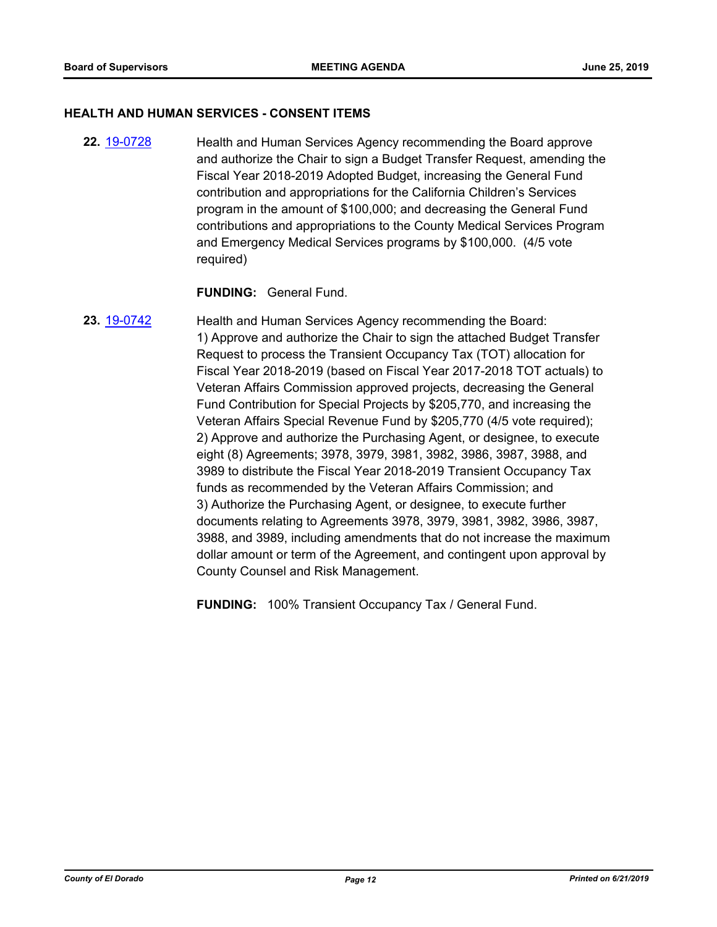#### **HEALTH AND HUMAN SERVICES - CONSENT ITEMS**

**22.** [19-0728](http://eldorado.legistar.com/gateway.aspx?m=l&id=/matter.aspx?key=26050) Health and Human Services Agency recommending the Board approve and authorize the Chair to sign a Budget Transfer Request, amending the Fiscal Year 2018-2019 Adopted Budget, increasing the General Fund contribution and appropriations for the California Children's Services program in the amount of \$100,000; and decreasing the General Fund contributions and appropriations to the County Medical Services Program and Emergency Medical Services programs by \$100,000. (4/5 vote required)

#### **FUNDING:** General Fund.

**23.** [19-0742](http://eldorado.legistar.com/gateway.aspx?m=l&id=/matter.aspx?key=26064) Health and Human Services Agency recommending the Board: 1) Approve and authorize the Chair to sign the attached Budget Transfer Request to process the Transient Occupancy Tax (TOT) allocation for Fiscal Year 2018-2019 (based on Fiscal Year 2017-2018 TOT actuals) to Veteran Affairs Commission approved projects, decreasing the General Fund Contribution for Special Projects by \$205,770, and increasing the Veteran Affairs Special Revenue Fund by \$205,770 (4/5 vote required); 2) Approve and authorize the Purchasing Agent, or designee, to execute eight (8) Agreements; 3978, 3979, 3981, 3982, 3986, 3987, 3988, and 3989 to distribute the Fiscal Year 2018-2019 Transient Occupancy Tax funds as recommended by the Veteran Affairs Commission; and 3) Authorize the Purchasing Agent, or designee, to execute further documents relating to Agreements 3978, 3979, 3981, 3982, 3986, 3987, 3988, and 3989, including amendments that do not increase the maximum dollar amount or term of the Agreement, and contingent upon approval by County Counsel and Risk Management.

**FUNDING:** 100% Transient Occupancy Tax / General Fund.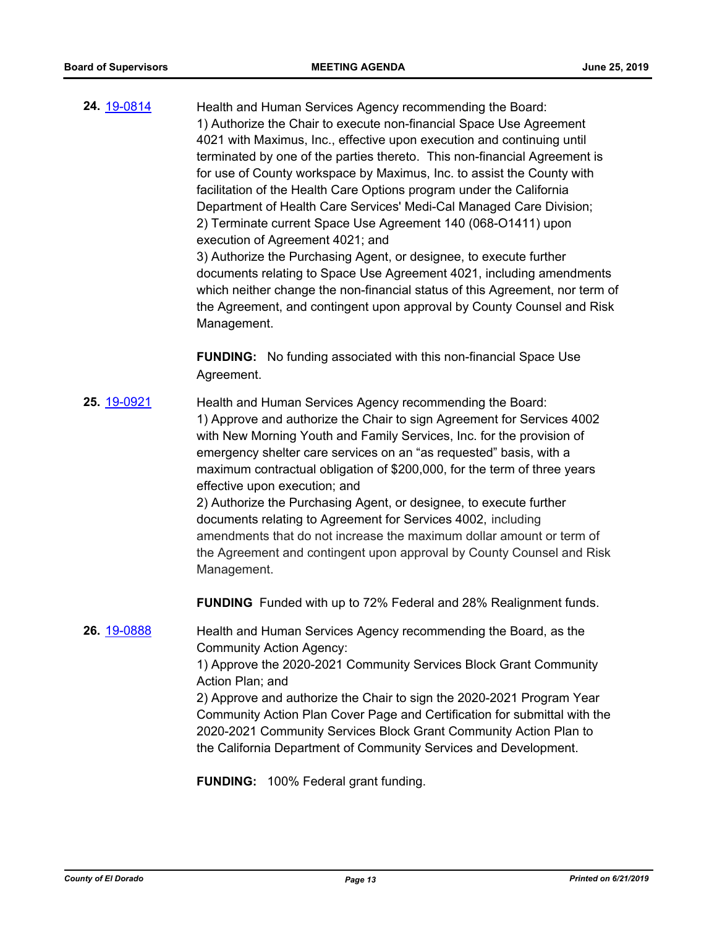**24.** [19-0814](http://eldorado.legistar.com/gateway.aspx?m=l&id=/matter.aspx?key=26137) Health and Human Services Agency recommending the Board: 1) Authorize the Chair to execute non-financial Space Use Agreement 4021 with Maximus, Inc., effective upon execution and continuing until terminated by one of the parties thereto. This non-financial Agreement is for use of County workspace by Maximus, Inc. to assist the County with facilitation of the Health Care Options program under the California Department of Health Care Services' Medi-Cal Managed Care Division; 2) Terminate current Space Use Agreement 140 (068-O1411) upon execution of Agreement 4021; and 3) Authorize the Purchasing Agent, or designee, to execute further documents relating to Space Use Agreement 4021, including amendments

which neither change the non-financial status of this Agreement, nor term of the Agreement, and contingent upon approval by County Counsel and Risk Management.

**FUNDING:** No funding associated with this non-financial Space Use Agreement.

**25.** [19-0921](http://eldorado.legistar.com/gateway.aspx?m=l&id=/matter.aspx?key=26244) Health and Human Services Agency recommending the Board: 1) Approve and authorize the Chair to sign Agreement for Services 4002 with New Morning Youth and Family Services, Inc. for the provision of emergency shelter care services on an "as requested" basis, with a maximum contractual obligation of \$200,000, for the term of three years effective upon execution; and 2) Authorize the Purchasing Agent, or designee, to execute further

documents relating to Agreement for Services 4002, including amendments that do not increase the maximum dollar amount or term of the Agreement and contingent upon approval by County Counsel and Risk Management.

**FUNDING** Funded with up to 72% Federal and 28% Realignment funds.

**26.** [19-0888](http://eldorado.legistar.com/gateway.aspx?m=l&id=/matter.aspx?key=26211) Health and Human Services Agency recommending the Board, as the Community Action Agency:

1) Approve the 2020-2021 Community Services Block Grant Community Action Plan; and

2) Approve and authorize the Chair to sign the 2020-2021 Program Year Community Action Plan Cover Page and Certification for submittal with the 2020-2021 Community Services Block Grant Community Action Plan to the California Department of Community Services and Development.

**FUNDING:** 100% Federal grant funding.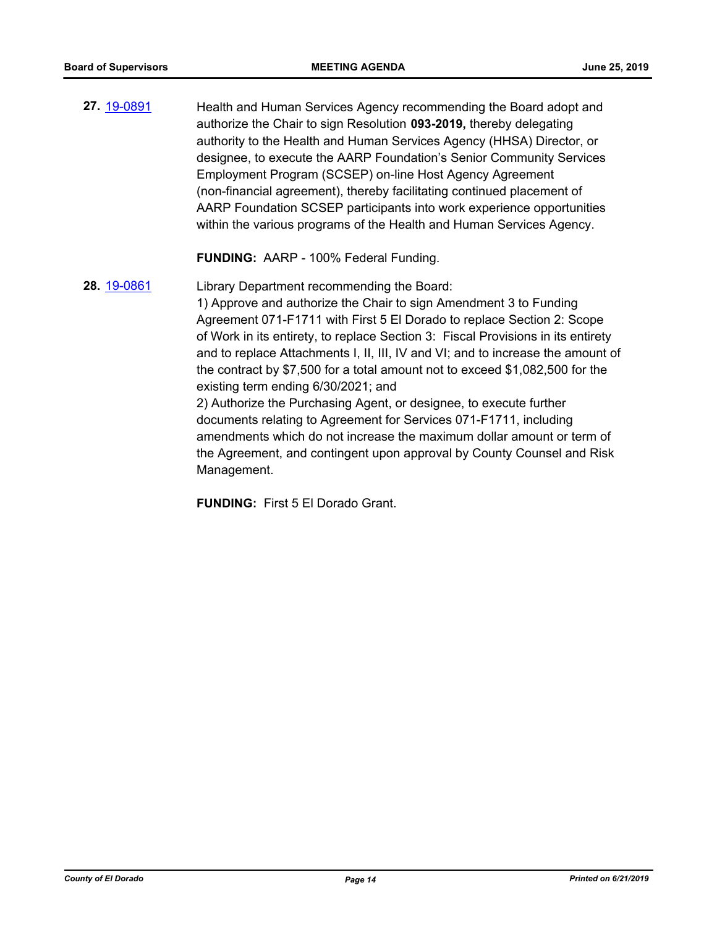**27.** [19-0891](http://eldorado.legistar.com/gateway.aspx?m=l&id=/matter.aspx?key=26214) Health and Human Services Agency recommending the Board adopt and authorize the Chair to sign Resolution **093-2019,** thereby delegating authority to the Health and Human Services Agency (HHSA) Director, or designee, to execute the AARP Foundation's Senior Community Services Employment Program (SCSEP) on-line Host Agency Agreement (non-financial agreement), thereby facilitating continued placement of AARP Foundation SCSEP participants into work experience opportunities within the various programs of the Health and Human Services Agency.

**FUNDING:** AARP - 100% Federal Funding.

**28.** [19-0861](http://eldorado.legistar.com/gateway.aspx?m=l&id=/matter.aspx?key=26184) Library Department recommending the Board: 1) Approve and authorize the Chair to sign Amendment 3 to Funding Agreement 071-F1711 with First 5 El Dorado to replace Section 2: Scope of Work in its entirety, to replace Section 3: Fiscal Provisions in its entirety and to replace Attachments I, II, III, IV and VI; and to increase the amount of the contract by \$7,500 for a total amount not to exceed \$1,082,500 for the existing term ending 6/30/2021; and 2) Authorize the Purchasing Agent, or designee, to execute further documents relating to Agreement for Services 071-F1711, including amendments which do not increase the maximum dollar amount or term of the Agreement, and contingent upon approval by County Counsel and Risk

Management.

**FUNDING:** First 5 El Dorado Grant.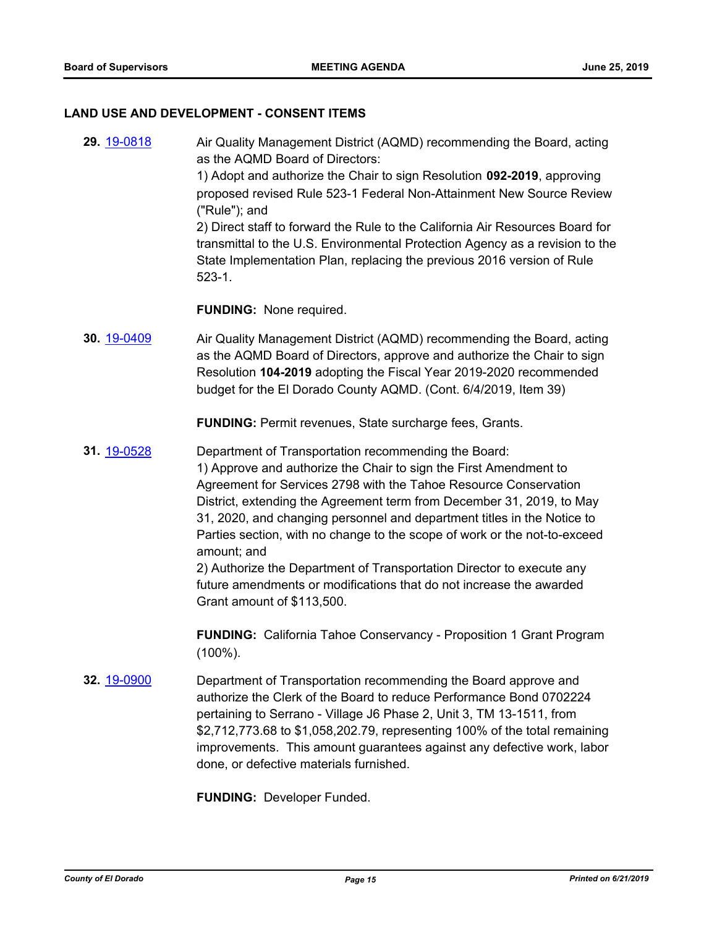#### **LAND USE AND DEVELOPMENT - CONSENT ITEMS**

**29.** [19-0818](http://eldorado.legistar.com/gateway.aspx?m=l&id=/matter.aspx?key=26141) Air Quality Management District (AQMD) recommending the Board, acting as the AQMD Board of Directors: 1) Adopt and authorize the Chair to sign Resolution **092-2019**, approving proposed revised Rule 523-1 Federal Non-Attainment New Source Review ("Rule"); and 2) Direct staff to forward the Rule to the California Air Resources Board for transmittal to the U.S. Environmental Protection Agency as a revision to the State Implementation Plan, replacing the previous 2016 version of Rule 523-1. **FUNDING:** None required. **30.** [19-0409](http://eldorado.legistar.com/gateway.aspx?m=l&id=/matter.aspx?key=25730) Air Quality Management District (AQMD) recommending the Board, acting as the AQMD Board of Directors, approve and authorize the Chair to sign

**FUNDING:** Permit revenues, State surcharge fees, Grants.

budget for the El Dorado County AQMD. (Cont. 6/4/2019, Item 39)

Resolution **104-2019** adopting the Fiscal Year 2019-2020 recommended

**31.** [19-0528](http://eldorado.legistar.com/gateway.aspx?m=l&id=/matter.aspx?key=25849) Department of Transportation recommending the Board: 1) Approve and authorize the Chair to sign the First Amendment to Agreement for Services 2798 with the Tahoe Resource Conservation District, extending the Agreement term from December 31, 2019, to May 31, 2020, and changing personnel and department titles in the Notice to Parties section, with no change to the scope of work or the not-to-exceed amount; and 2) Authorize the Department of Transportation Director to execute any

future amendments or modifications that do not increase the awarded Grant amount of \$113,500.

**FUNDING:** California Tahoe Conservancy - Proposition 1 Grant Program (100%).

**32.** [19-0900](http://eldorado.legistar.com/gateway.aspx?m=l&id=/matter.aspx?key=26223) Department of Transportation recommending the Board approve and authorize the Clerk of the Board to reduce Performance Bond 0702224 pertaining to Serrano - Village J6 Phase 2, Unit 3, TM 13-1511, from \$2,712,773.68 to \$1,058,202.79, representing 100% of the total remaining improvements. This amount guarantees against any defective work, labor done, or defective materials furnished.

**FUNDING:** Developer Funded.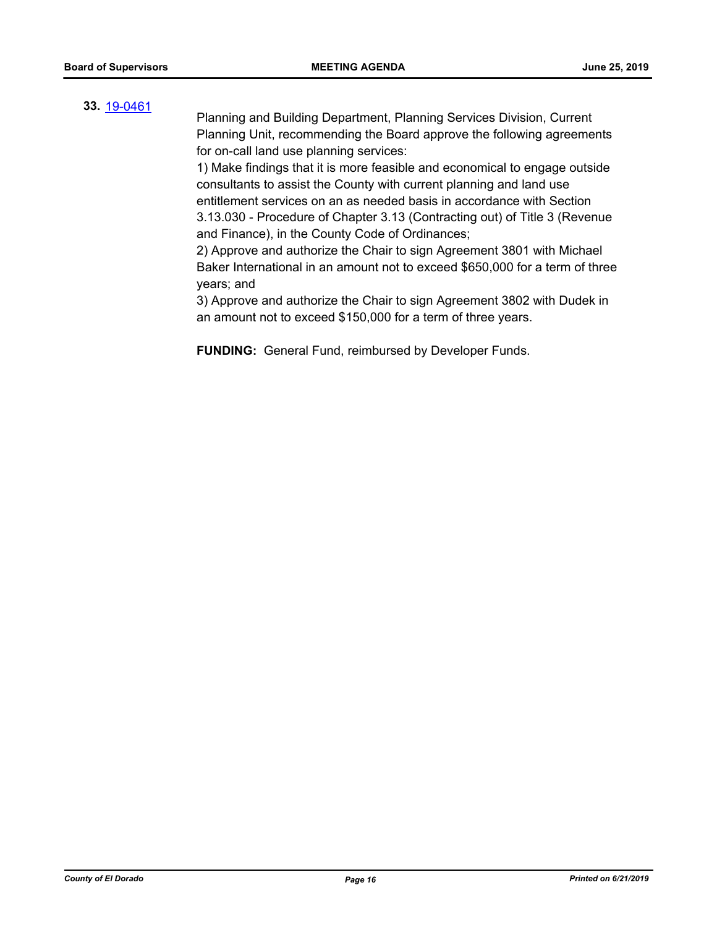#### **33.** [19-0461](http://eldorado.legistar.com/gateway.aspx?m=l&id=/matter.aspx?key=25782)

Planning and Building Department, Planning Services Division, Current Planning Unit, recommending the Board approve the following agreements for on-call land use planning services:

1) Make findings that it is more feasible and economical to engage outside consultants to assist the County with current planning and land use entitlement services on an as needed basis in accordance with Section 3.13.030 - Procedure of Chapter 3.13 (Contracting out) of Title 3 (Revenue and Finance), in the County Code of Ordinances;

2) Approve and authorize the Chair to sign Agreement 3801 with Michael Baker International in an amount not to exceed \$650,000 for a term of three years; and

3) Approve and authorize the Chair to sign Agreement 3802 with Dudek in an amount not to exceed \$150,000 for a term of three years.

**FUNDING:** General Fund, reimbursed by Developer Funds.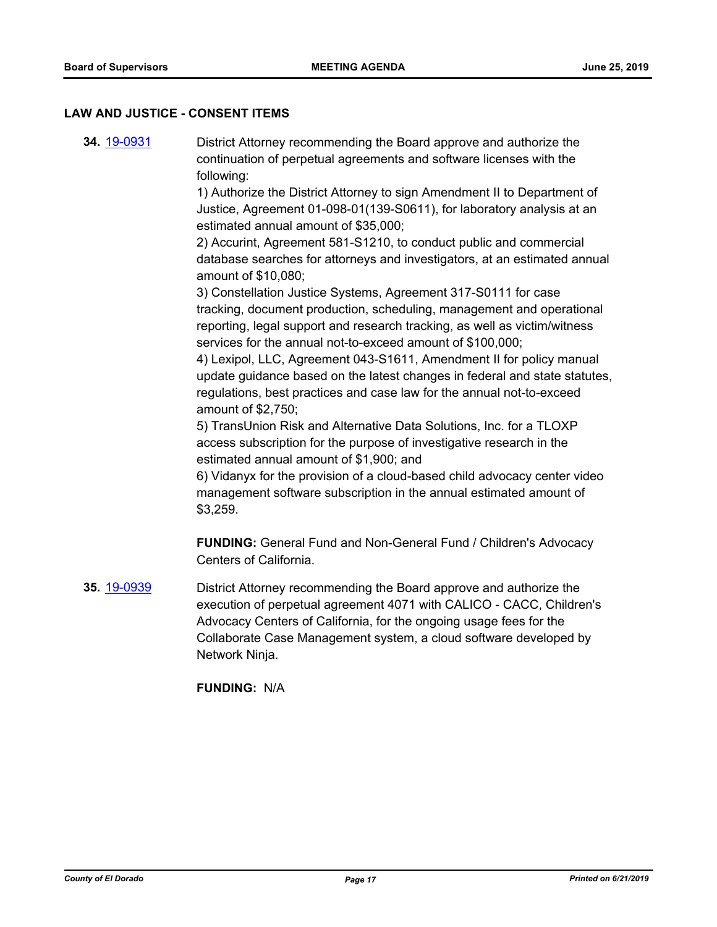#### **LAW AND JUSTICE - CONSENT ITEMS**

**34.** [19-0931](http://eldorado.legistar.com/gateway.aspx?m=l&id=/matter.aspx?key=26254) District Attorney recommending the Board approve and authorize the continuation of perpetual agreements and software licenses with the following:

> 1) Authorize the District Attorney to sign Amendment II to Department of Justice, Agreement 01-098-01(139-S0611), for laboratory analysis at an estimated annual amount of \$35,000;

2) Accurint, Agreement 581-S1210, to conduct public and commercial database searches for attorneys and investigators, at an estimated annual amount of \$10,080;

3) Constellation Justice Systems, Agreement 317-S0111 for case tracking, document production, scheduling, management and operational reporting, legal support and research tracking, as well as victim/witness services for the annual not-to-exceed amount of \$100,000;

4) Lexipol, LLC, Agreement 043-S1611, Amendment II for policy manual update guidance based on the latest changes in federal and state statutes, regulations, best practices and case law for the annual not-to-exceed amount of \$2,750;

5) TransUnion Risk and Alternative Data Solutions, Inc. for a TLOXP access subscription for the purpose of investigative research in the estimated annual amount of \$1,900; and

6) Vidanyx for the provision of a cloud-based child advocacy center video management software subscription in the annual estimated amount of \$3,259.

**FUNDING:** General Fund and Non-General Fund / Children's Advocacy Centers of California.

**35.** [19-0939](http://eldorado.legistar.com/gateway.aspx?m=l&id=/matter.aspx?key=26262) District Attorney recommending the Board approve and authorize the execution of perpetual agreement 4071 with CALICO - CACC, Children's Advocacy Centers of California, for the ongoing usage fees for the Collaborate Case Management system, a cloud software developed by Network Ninja.

**FUNDING:** N/A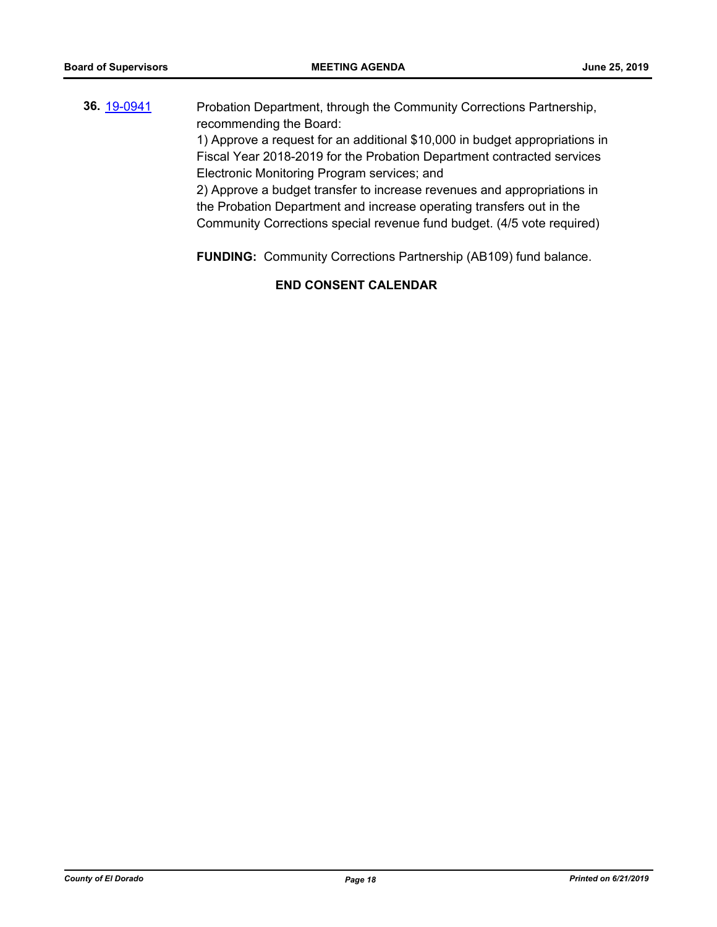| 36. 19-0941 | Probation Department, through the Community Corrections Partnership,        |
|-------------|-----------------------------------------------------------------------------|
|             | recommending the Board:                                                     |
|             | 1) Approve a request for an additional \$10,000 in budget appropriations in |
|             | Fiscal Year 2018-2019 for the Probation Department contracted services      |
|             | Electronic Monitoring Program services; and                                 |
|             | 2) Approve a budget transfer to increase revenues and appropriations in     |
|             | the Probation Department and increase operating transfers out in the        |
|             |                                                                             |

Community Corrections special revenue fund budget. (4/5 vote required)

**FUNDING:** Community Corrections Partnership (AB109) fund balance.

# **END CONSENT CALENDAR**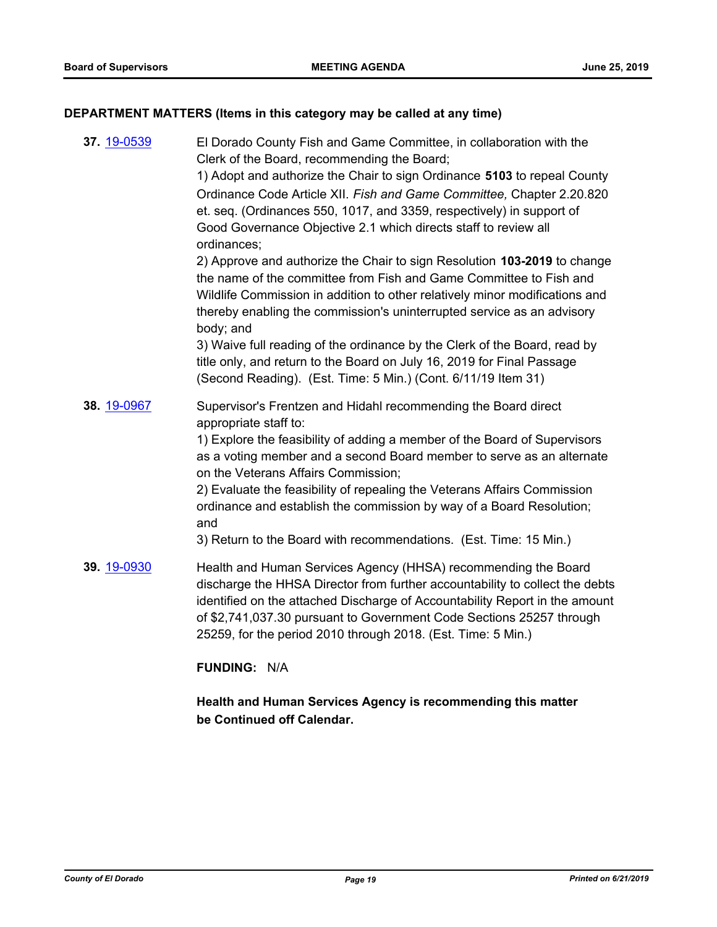# **DEPARTMENT MATTERS (Items in this category may be called at any time)**

| 37. 19-0539 | El Dorado County Fish and Game Committee, in collaboration with the<br>Clerk of the Board, recommending the Board;<br>1) Adopt and authorize the Chair to sign Ordinance 5103 to repeal County<br>Ordinance Code Article XII. Fish and Game Committee, Chapter 2.20.820<br>et. seq. (Ordinances 550, 1017, and 3359, respectively) in support of<br>Good Governance Objective 2.1 which directs staff to review all<br>ordinances;<br>2) Approve and authorize the Chair to sign Resolution 103-2019 to change<br>the name of the committee from Fish and Game Committee to Fish and<br>Wildlife Commission in addition to other relatively minor modifications and<br>thereby enabling the commission's uninterrupted service as an advisory<br>body; and<br>3) Waive full reading of the ordinance by the Clerk of the Board, read by<br>title only, and return to the Board on July 16, 2019 for Final Passage<br>(Second Reading). (Est. Time: 5 Min.) (Cont. 6/11/19 Item 31) |
|-------------|------------------------------------------------------------------------------------------------------------------------------------------------------------------------------------------------------------------------------------------------------------------------------------------------------------------------------------------------------------------------------------------------------------------------------------------------------------------------------------------------------------------------------------------------------------------------------------------------------------------------------------------------------------------------------------------------------------------------------------------------------------------------------------------------------------------------------------------------------------------------------------------------------------------------------------------------------------------------------------|
| 38. 19-0967 | Supervisor's Frentzen and Hidahl recommending the Board direct<br>appropriate staff to:<br>1) Explore the feasibility of adding a member of the Board of Supervisors<br>as a voting member and a second Board member to serve as an alternate<br>on the Veterans Affairs Commission;<br>2) Evaluate the feasibility of repealing the Veterans Affairs Commission<br>ordinance and establish the commission by way of a Board Resolution;<br>and<br>3) Return to the Board with recommendations. (Est. Time: 15 Min.)                                                                                                                                                                                                                                                                                                                                                                                                                                                               |
| 39. 19-0930 | Health and Human Services Agency (HHSA) recommending the Board<br>discharge the HHSA Director from further accountability to collect the debts<br>identified on the attached Discharge of Accountability Report in the amount<br>of \$2,741,037.30 pursuant to Government Code Sections 25257 through<br>25259, for the period 2010 through 2018. (Est. Time: 5 Min.)                                                                                                                                                                                                                                                                                                                                                                                                                                                                                                                                                                                                              |
|             |                                                                                                                                                                                                                                                                                                                                                                                                                                                                                                                                                                                                                                                                                                                                                                                                                                                                                                                                                                                    |

# **FUNDING:** N/A

**Health and Human Services Agency is recommending this matter be Continued off Calendar.**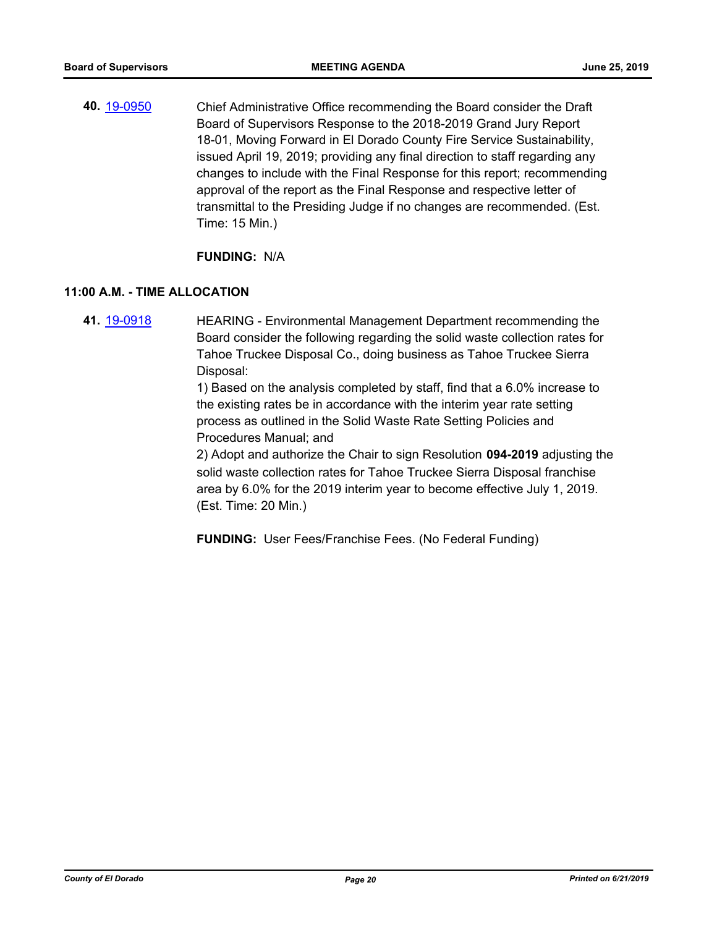**40.** [19-0950](http://eldorado.legistar.com/gateway.aspx?m=l&id=/matter.aspx?key=26273) Chief Administrative Office recommending the Board consider the Draft Board of Supervisors Response to the 2018-2019 Grand Jury Report 18-01, Moving Forward in El Dorado County Fire Service Sustainability, issued April 19, 2019; providing any final direction to staff regarding any changes to include with the Final Response for this report; recommending approval of the report as the Final Response and respective letter of transmittal to the Presiding Judge if no changes are recommended. (Est. Time: 15 Min.)

### **FUNDING:** N/A

# **11:00 A.M. - TIME ALLOCATION**

**41.** [19-0918](http://eldorado.legistar.com/gateway.aspx?m=l&id=/matter.aspx?key=26241) HEARING - Environmental Management Department recommending the Board consider the following regarding the solid waste collection rates for Tahoe Truckee Disposal Co., doing business as Tahoe Truckee Sierra Disposal:

> 1) Based on the analysis completed by staff, find that a 6.0% increase to the existing rates be in accordance with the interim year rate setting process as outlined in the Solid Waste Rate Setting Policies and Procedures Manual; and

2) Adopt and authorize the Chair to sign Resolution **094-2019** adjusting the solid waste collection rates for Tahoe Truckee Sierra Disposal franchise area by 6.0% for the 2019 interim year to become effective July 1, 2019. (Est. Time: 20 Min.)

**FUNDING:** User Fees/Franchise Fees. (No Federal Funding)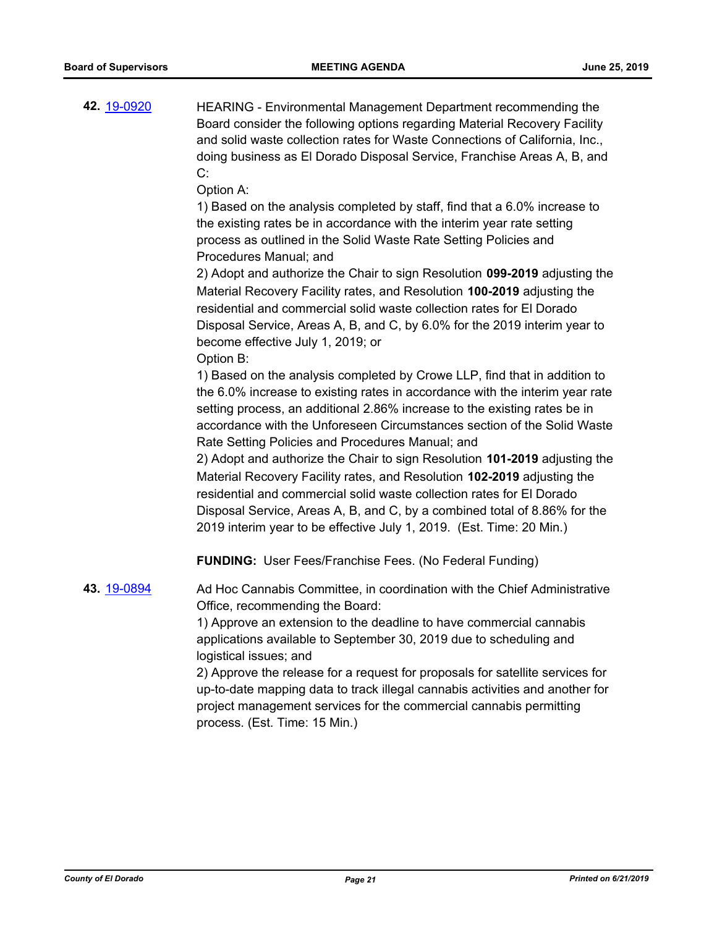**42.** [19-0920](http://eldorado.legistar.com/gateway.aspx?m=l&id=/matter.aspx?key=26243) HEARING - Environmental Management Department recommending the Board consider the following options regarding Material Recovery Facility and solid waste collection rates for Waste Connections of California, Inc., doing business as El Dorado Disposal Service, Franchise Areas A, B, and C:

Option A:

1) Based on the analysis completed by staff, find that a 6.0% increase to the existing rates be in accordance with the interim year rate setting process as outlined in the Solid Waste Rate Setting Policies and Procedures Manual; and

2) Adopt and authorize the Chair to sign Resolution **099-2019** adjusting the Material Recovery Facility rates, and Resolution **100-2019** adjusting the residential and commercial solid waste collection rates for El Dorado Disposal Service, Areas A, B, and C, by 6.0% for the 2019 interim year to become effective July 1, 2019; or Option B:

1) Based on the analysis completed by Crowe LLP, find that in addition to the 6.0% increase to existing rates in accordance with the interim year rate setting process, an additional 2.86% increase to the existing rates be in accordance with the Unforeseen Circumstances section of the Solid Waste Rate Setting Policies and Procedures Manual; and

2) Adopt and authorize the Chair to sign Resolution **101-2019** adjusting the Material Recovery Facility rates, and Resolution **102-2019** adjusting the residential and commercial solid waste collection rates for El Dorado Disposal Service, Areas A, B, and C, by a combined total of 8.86% for the 2019 interim year to be effective July 1, 2019. (Est. Time: 20 Min.)

**FUNDING:** User Fees/Franchise Fees. (No Federal Funding)

**43.** [19-0894](http://eldorado.legistar.com/gateway.aspx?m=l&id=/matter.aspx?key=26217) Ad Hoc Cannabis Committee, in coordination with the Chief Administrative Office, recommending the Board:

> 1) Approve an extension to the deadline to have commercial cannabis applications available to September 30, 2019 due to scheduling and logistical issues; and

2) Approve the release for a request for proposals for satellite services for up-to-date mapping data to track illegal cannabis activities and another for project management services for the commercial cannabis permitting process. (Est. Time: 15 Min.)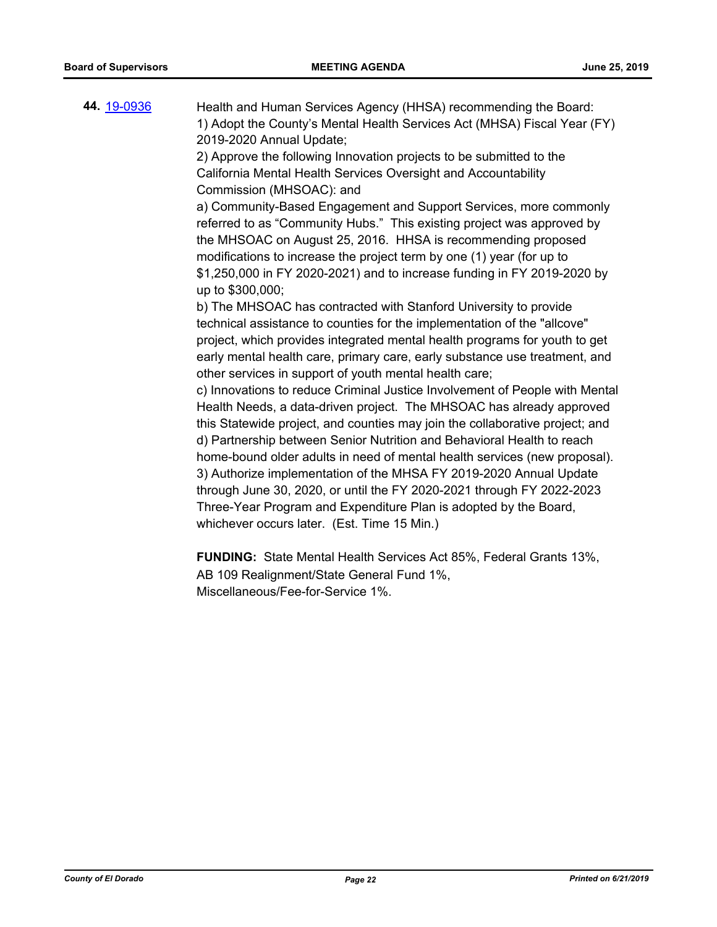**44.** [19-0936](http://eldorado.legistar.com/gateway.aspx?m=l&id=/matter.aspx?key=26259) Health and Human Services Agency (HHSA) recommending the Board: 1) Adopt the County's Mental Health Services Act (MHSA) Fiscal Year (FY) 2019-2020 Annual Update; 2) Approve the following Innovation projects to be submitted to the California Mental Health Services Oversight and Accountability Commission (MHSOAC): and a) Community-Based Engagement and Support Services, more commonly referred to as "Community Hubs." This existing project was approved by the MHSOAC on August 25, 2016. HHSA is recommending proposed modifications to increase the project term by one (1) year (for up to \$1,250,000 in FY 2020-2021) and to increase funding in FY 2019-2020 by up to \$300,000; b) The MHSOAC has contracted with Stanford University to provide technical assistance to counties for the implementation of the "allcove" project, which provides integrated mental health programs for youth to get early mental health care, primary care, early substance use treatment, and other services in support of youth mental health care; c) Innovations to reduce Criminal Justice Involvement of People with Mental Health Needs, a data-driven project. The MHSOAC has already approved this Statewide project, and counties may join the collaborative project; and d) Partnership between Senior Nutrition and Behavioral Health to reach home-bound older adults in need of mental health services (new proposal). 3) Authorize implementation of the MHSA FY 2019-2020 Annual Update through June 30, 2020, or until the FY 2020-2021 through FY 2022-2023 Three-Year Program and Expenditure Plan is adopted by the Board, whichever occurs later. (Est. Time 15 Min.)

> **FUNDING:** State Mental Health Services Act 85%, Federal Grants 13%, AB 109 Realignment/State General Fund 1%, Miscellaneous/Fee-for-Service 1%.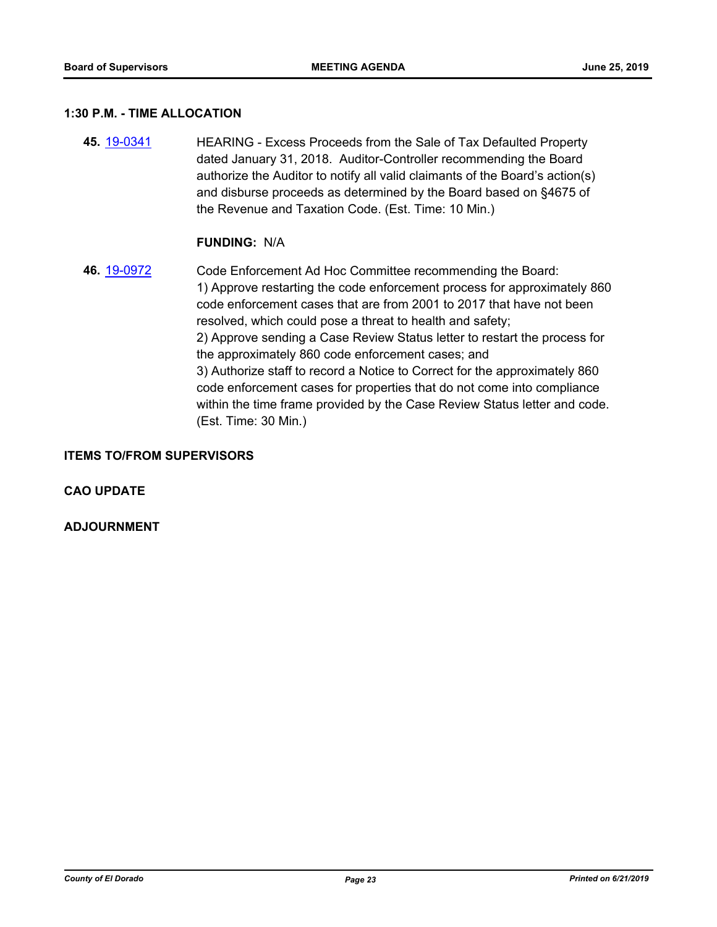#### **1:30 P.M. - TIME ALLOCATION**

**45.** [19-0341](http://eldorado.legistar.com/gateway.aspx?m=l&id=/matter.aspx?key=25662) HEARING - Excess Proceeds from the Sale of Tax Defaulted Property dated January 31, 2018. Auditor-Controller recommending the Board authorize the Auditor to notify all valid claimants of the Board's action(s) and disburse proceeds as determined by the Board based on §4675 of the Revenue and Taxation Code. (Est. Time: 10 Min.)

#### **FUNDING:** N/A

**46.** [19-0972](http://eldorado.legistar.com/gateway.aspx?m=l&id=/matter.aspx?key=26295) Code Enforcement Ad Hoc Committee recommending the Board: 1) Approve restarting the code enforcement process for approximately 860 code enforcement cases that are from 2001 to 2017 that have not been resolved, which could pose a threat to health and safety; 2) Approve sending a Case Review Status letter to restart the process for the approximately 860 code enforcement cases; and 3) Authorize staff to record a Notice to Correct for the approximately 860 code enforcement cases for properties that do not come into compliance within the time frame provided by the Case Review Status letter and code. (Est. Time: 30 Min.)

#### **ITEMS TO/FROM SUPERVISORS**

**CAO UPDATE**

**ADJOURNMENT**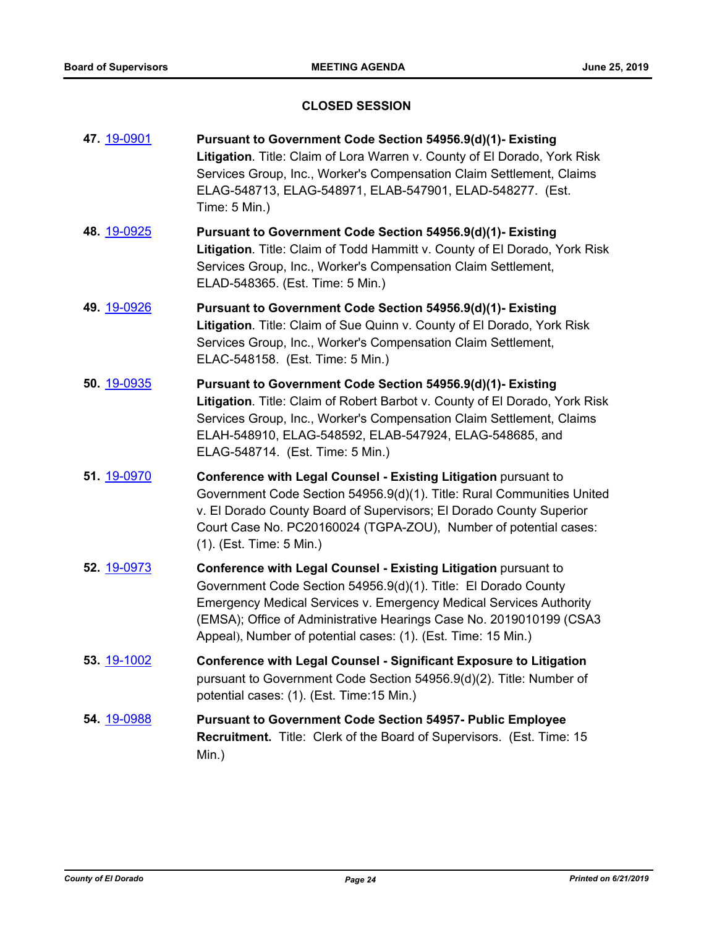# **CLOSED SESSION**

| 47. 19-0901        | Pursuant to Government Code Section 54956.9(d)(1)- Existing<br>Litigation. Title: Claim of Lora Warren v. County of El Dorado, York Risk<br>Services Group, Inc., Worker's Compensation Claim Settlement, Claims<br>ELAG-548713, ELAG-548971, ELAB-547901, ELAD-548277. (Est.<br>Time: 5 Min.)                                                         |
|--------------------|--------------------------------------------------------------------------------------------------------------------------------------------------------------------------------------------------------------------------------------------------------------------------------------------------------------------------------------------------------|
| 48. 19-0925        | Pursuant to Government Code Section 54956.9(d)(1)- Existing<br>Litigation. Title: Claim of Todd Hammitt v. County of El Dorado, York Risk<br>Services Group, Inc., Worker's Compensation Claim Settlement,<br>ELAD-548365. (Est. Time: 5 Min.)                                                                                                         |
| 49. 19-0926        | Pursuant to Government Code Section 54956.9(d)(1)- Existing<br>Litigation. Title: Claim of Sue Quinn v. County of El Dorado, York Risk<br>Services Group, Inc., Worker's Compensation Claim Settlement,<br>ELAC-548158. (Est. Time: 5 Min.)                                                                                                            |
| 50. 19-0935        | Pursuant to Government Code Section 54956.9(d)(1)- Existing<br>Litigation. Title: Claim of Robert Barbot v. County of El Dorado, York Risk<br>Services Group, Inc., Worker's Compensation Claim Settlement, Claims<br>ELAH-548910, ELAG-548592, ELAB-547924, ELAG-548685, and<br>ELAG-548714. (Est. Time: 5 Min.)                                      |
| 51. 19-0970        | Conference with Legal Counsel - Existing Litigation pursuant to<br>Government Code Section 54956.9(d)(1). Title: Rural Communities United<br>v. El Dorado County Board of Supervisors; El Dorado County Superior<br>Court Case No. PC20160024 (TGPA-ZOU), Number of potential cases:<br>(1). (Est. Time: 5 Min.)                                       |
| 52. 19-0973        | Conference with Legal Counsel - Existing Litigation pursuant to<br>Government Code Section 54956.9(d)(1). Title: El Dorado County<br><b>Emergency Medical Services v. Emergency Medical Services Authority</b><br>(EMSA); Office of Administrative Hearings Case No. 2019010199 (CSA3<br>Appeal), Number of potential cases: (1). (Est. Time: 15 Min.) |
| <b>53.</b> 19-1002 | <b>Conference with Legal Counsel - Significant Exposure to Litigation</b><br>pursuant to Government Code Section 54956.9(d)(2). Title: Number of<br>potential cases: (1). (Est. Time: 15 Min.)                                                                                                                                                         |
| <b>54.</b> 19-0988 | <b>Pursuant to Government Code Section 54957- Public Employee</b><br><b>Recruitment.</b> Title: Clerk of the Board of Supervisors. (Est. Time: 15<br>Min.)                                                                                                                                                                                             |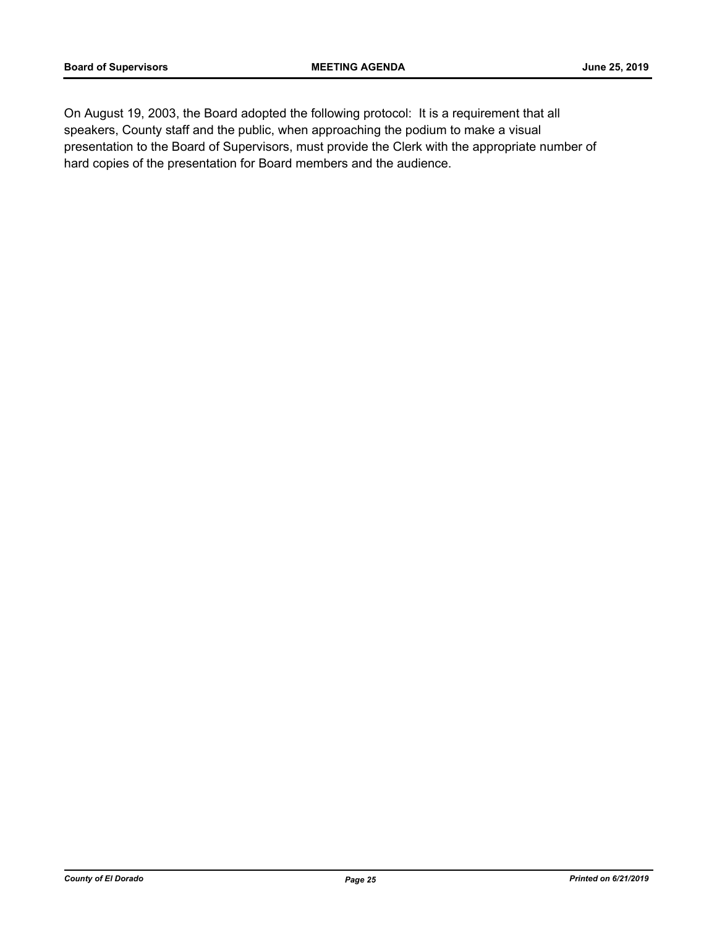On August 19, 2003, the Board adopted the following protocol: It is a requirement that all speakers, County staff and the public, when approaching the podium to make a visual presentation to the Board of Supervisors, must provide the Clerk with the appropriate number of hard copies of the presentation for Board members and the audience.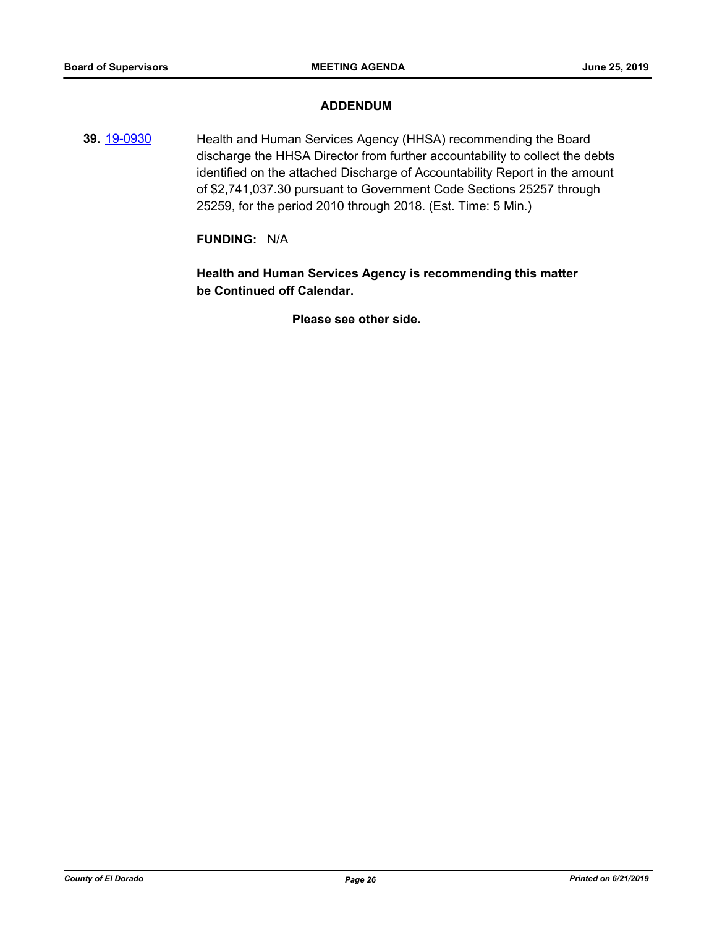### **ADDENDUM**

**39.** [19-0930](http://eldorado.legistar.com/gateway.aspx?m=l&id=/matter.aspx?key=26253) Health and Human Services Agency (HHSA) recommending the Board discharge the HHSA Director from further accountability to collect the debts identified on the attached Discharge of Accountability Report in the amount of \$2,741,037.30 pursuant to Government Code Sections 25257 through 25259, for the period 2010 through 2018. (Est. Time: 5 Min.)

#### **FUNDING:** N/A

**Health and Human Services Agency is recommending this matter be Continued off Calendar.**

**Please see other side.**